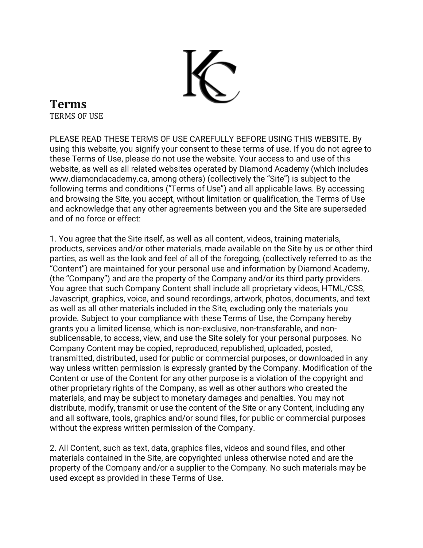

## **Terms** TERMS OF USE

PLEASE READ THESE TERMS OF USE CAREFULLY BEFORE USING THIS WEBSITE. By using this website, you signify your consent to these terms of use. If you do not agree to these Terms of Use, please do not use the website. Your access to and use of this website, as well as all related websites operated by Diamond Academy (which includes www.diamondacademy.ca, among others) (collectively the "Site") is subject to the following terms and conditions ("Terms of Use") and all applicable laws. By accessing and browsing the Site, you accept, without limitation or qualification, the Terms of Use and acknowledge that any other agreements between you and the Site are superseded and of no force or effect:

1. You agree that the Site itself, as well as all content, videos, training materials, products, services and/or other materials, made available on the Site by us or other third parties, as well as the look and feel of all of the foregoing, (collectively referred to as the "Content") are maintained for your personal use and information by Diamond Academy, (the "Company") and are the property of the Company and/or its third party providers. You agree that such Company Content shall include all proprietary videos, HTML/CSS, Javascript, graphics, voice, and sound recordings, artwork, photos, documents, and text as well as all other materials included in the Site, excluding only the materials you provide. Subject to your compliance with these Terms of Use, the Company hereby grants you a limited license, which is non-exclusive, non-transferable, and nonsublicensable, to access, view, and use the Site solely for your personal purposes. No Company Content may be copied, reproduced, republished, uploaded, posted, transmitted, distributed, used for public or commercial purposes, or downloaded in any way unless written permission is expressly granted by the Company. Modification of the Content or use of the Content for any other purpose is a violation of the copyright and other proprietary rights of the Company, as well as other authors who created the materials, and may be subject to monetary damages and penalties. You may not distribute, modify, transmit or use the content of the Site or any Content, including any and all software, tools, graphics and/or sound files, for public or commercial purposes without the express written permission of the Company.

2. All Content, such as text, data, graphics files, videos and sound files, and other materials contained in the Site, are copyrighted unless otherwise noted and are the property of the Company and/or a supplier to the Company. No such materials may be used except as provided in these Terms of Use.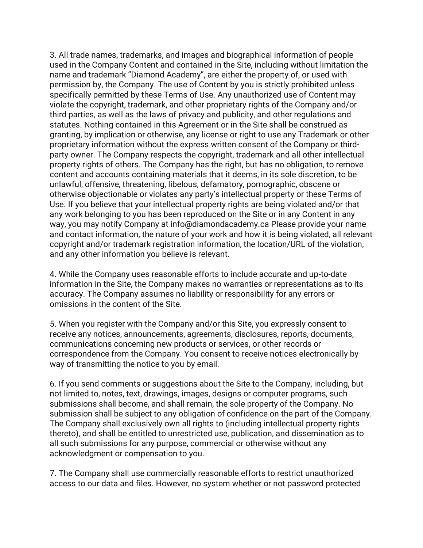3. All trade names, trademarks, and images and biographical information of people used in the Company Content and contained in the Site, including without limitation the name and trademark "Diamond Academy", are either the property of, or used with permission by, the Company. The use of Content by you is strictly prohibited unless specifically permitted by these Terms of Use. Any unauthorized use of Content may violate the copyright, trademark, and other proprietary rights of the Company and/or third parties, as well as the laws of privacy and publicity, and other regulations and statutes. Nothing contained in this Agreement or in the Site shall be construed as granting, by implication or otherwise, any license or right to use any Trademark or other proprietary information without the express written consent of the Company or thirdparty owner. The Company respects the copyright, trademark and all other intellectual property rights of others. The Company has the right, but has no obligation, to remove content and accounts containing materials that it deems, in its sole discretion, to be unlawful, offensive, threatening, libelous, defamatory, pornographic, obscene or otherwise objectionable or violates any party's intellectual property or these Terms of Use. If you believe that your intellectual property rights are being violated and/or that any work belonging to you has been reproduced on the Site or in any Content in any way, you may notify Company at info@diamondacademy.ca Please provide your name and contact information, the nature of your work and how it is being violated, all relevant copyright and/or trademark registration information, the location/URL of the violation, and any other information you believe is relevant.

4. While the Company uses reasonable efforts to include accurate and up-to-date information in the Site, the Company makes no warranties or representations as to its accuracy. The Company assumes no liability or responsibility for any errors or omissions in the content of the Site.

5. When you register with the Company and/or this Site, you expressly consent to receive any notices, announcements, agreements, disclosures, reports, documents, communications concerning new products or services, or other records or correspondence from the Company. You consent to receive notices electronically by way of transmitting the notice to you by email.

6. If you send comments or suggestions about the Site to the Company, including, but not limited to, notes, text, drawings, images, designs or computer programs, such submissions shall become, and shall remain, the sole property of the Company. No submission shall be subject to any obligation of confidence on the part of the Company. The Company shall exclusively own all rights to (including intellectual property rights thereto), and shall be entitled to unrestricted use, publication, and dissemination as to all such submissions for any purpose, commercial or otherwise without any acknowledgment or compensation to you.

7. The Company shall use commercially reasonable efforts to restrict unauthorized access to our data and files. However, no system whether or not password protected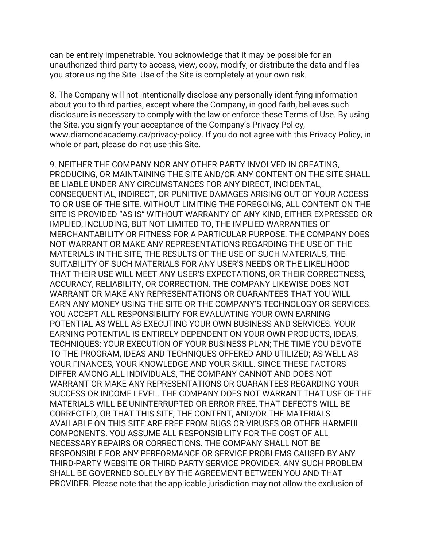can be entirely impenetrable. You acknowledge that it may be possible for an unauthorized third party to access, view, copy, modify, or distribute the data and files you store using the Site. Use of the Site is completely at your own risk.

8. The Company will not intentionally disclose any personally identifying information about you to third parties, except where the Company, in good faith, believes such disclosure is necessary to comply with the law or enforce these Terms of Use. By using the Site, you signify your acceptance of the Company's Privacy Policy, www.diamondacademy.ca/privacy-policy. If you do not agree with this Privacy Policy, in whole or part, please do not use this Site.

9. NEITHER THE COMPANY NOR ANY OTHER PARTY INVOLVED IN CREATING, PRODUCING, OR MAINTAINING THE SITE AND/OR ANY CONTENT ON THE SITE SHALL BE LIABLE UNDER ANY CIRCUMSTANCES FOR ANY DIRECT, INCIDENTAL, CONSEQUENTIAL, INDIRECT, OR PUNITIVE DAMAGES ARISING OUT OF YOUR ACCESS TO OR USE OF THE SITE. WITHOUT LIMITING THE FOREGOING, ALL CONTENT ON THE SITE IS PROVIDED "AS IS" WITHOUT WARRANTY OF ANY KIND, EITHER EXPRESSED OR IMPLIED, INCLUDING, BUT NOT LIMITED TO, THE IMPLIED WARRANTIES OF MERCHANTABILITY OR FITNESS FOR A PARTICULAR PURPOSE. THE COMPANY DOES NOT WARRANT OR MAKE ANY REPRESENTATIONS REGARDING THE USE OF THE MATERIALS IN THE SITE, THE RESULTS OF THE USE OF SUCH MATERIALS, THE SUITABILITY OF SUCH MATERIALS FOR ANY USER'S NEEDS OR THE LIKELIHOOD THAT THEIR USE WILL MEET ANY USER'S EXPECTATIONS, OR THEIR CORRECTNESS, ACCURACY, RELIABILITY, OR CORRECTION. THE COMPANY LIKEWISE DOES NOT WARRANT OR MAKE ANY REPRESENTATIONS OR GUARANTEES THAT YOU WILL EARN ANY MONEY USING THE SITE OR THE COMPANY'S TECHNOLOGY OR SERVICES. YOU ACCEPT ALL RESPONSIBILITY FOR EVALUATING YOUR OWN EARNING POTENTIAL AS WELL AS EXECUTING YOUR OWN BUSINESS AND SERVICES. YOUR EARNING POTENTIAL IS ENTIRELY DEPENDENT ON YOUR OWN PRODUCTS, IDEAS, TECHNIQUES; YOUR EXECUTION OF YOUR BUSINESS PLAN; THE TIME YOU DEVOTE TO THE PROGRAM, IDEAS AND TECHNIQUES OFFERED AND UTILIZED; AS WELL AS YOUR FINANCES, YOUR KNOWLEDGE AND YOUR SKILL. SINCE THESE FACTORS DIFFER AMONG ALL INDIVIDUALS, THE COMPANY CANNOT AND DOES NOT WARRANT OR MAKE ANY REPRESENTATIONS OR GUARANTEES REGARDING YOUR SUCCESS OR INCOME LEVEL. THE COMPANY DOES NOT WARRANT THAT USE OF THE MATERIALS WILL BE UNINTERRUPTED OR ERROR FREE, THAT DEFECTS WILL BE CORRECTED, OR THAT THIS SITE, THE CONTENT, AND/OR THE MATERIALS AVAILABLE ON THIS SITE ARE FREE FROM BUGS OR VIRUSES OR OTHER HARMFUL COMPONENTS. YOU ASSUME ALL RESPONSIBILITY FOR THE COST OF ALL NECESSARY REPAIRS OR CORRECTIONS. THE COMPANY SHALL NOT BE RESPONSIBLE FOR ANY PERFORMANCE OR SERVICE PROBLEMS CAUSED BY ANY THIRD-PARTY WEBSITE OR THIRD PARTY SERVICE PROVIDER. ANY SUCH PROBLEM SHALL BE GOVERNED SOLELY BY THE AGREEMENT BETWEEN YOU AND THAT PROVIDER. Please note that the applicable jurisdiction may not allow the exclusion of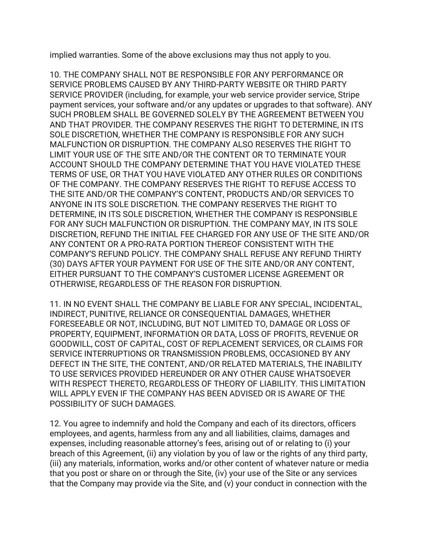implied warranties. Some of the above exclusions may thus not apply to you.

10. THE COMPANY SHALL NOT BE RESPONSIBLE FOR ANY PERFORMANCE OR SERVICE PROBLEMS CAUSED BY ANY THIRD-PARTY WEBSITE OR THIRD PARTY SERVICE PROVIDER (including, for example, your web service provider service, Stripe payment services, your software and/or any updates or upgrades to that software). ANY SUCH PROBLEM SHALL BE GOVERNED SOLELY BY THE AGREEMENT BETWEEN YOU AND THAT PROVIDER. THE COMPANY RESERVES THE RIGHT TO DETERMINE, IN ITS SOLE DISCRETION, WHETHER THE COMPANY IS RESPONSIBLE FOR ANY SUCH MALFUNCTION OR DISRUPTION. THE COMPANY ALSO RESERVES THE RIGHT TO LIMIT YOUR USE OF THE SITE AND/OR THE CONTENT OR TO TERMINATE YOUR ACCOUNT SHOULD THE COMPANY DETERMINE THAT YOU HAVE VIOLATED THESE TERMS OF USE, OR THAT YOU HAVE VIOLATED ANY OTHER RULES OR CONDITIONS OF THE COMPANY. THE COMPANY RESERVES THE RIGHT TO REFUSE ACCESS TO THE SITE AND/OR THE COMPANY'S CONTENT, PRODUCTS AND/OR SERVICES TO ANYONE IN ITS SOLE DISCRETION. THE COMPANY RESERVES THE RIGHT TO DETERMINE, IN ITS SOLE DISCRETION, WHETHER THE COMPANY IS RESPONSIBLE FOR ANY SUCH MALFUNCTION OR DISRUPTION. THE COMPANY MAY, IN ITS SOLE DISCRETION, REFUND THE INITIAL FEE CHARGED FOR ANY USE OF THE SITE AND/OR ANY CONTENT OR A PRO-RATA PORTION THEREOF CONSISTENT WITH THE COMPANY'S REFUND POLICY. THE COMPANY SHALL REFUSE ANY REFUND THIRTY (30) DAYS AFTER YOUR PAYMENT FOR USE OF THE SITE AND/OR ANY CONTENT, EITHER PURSUANT TO THE COMPANY'S CUSTOMER LICENSE AGREEMENT OR OTHERWISE, REGARDLESS OF THE REASON FOR DISRUPTION.

11. IN NO EVENT SHALL THE COMPANY BE LIABLE FOR ANY SPECIAL, INCIDENTAL, INDIRECT, PUNITIVE, RELIANCE OR CONSEQUENTIAL DAMAGES, WHETHER FORESEEABLE OR NOT, INCLUDING, BUT NOT LIMITED TO, DAMAGE OR LOSS OF PROPERTY, EQUIPMENT, INFORMATION OR DATA, LOSS OF PROFITS, REVENUE OR GOODWILL, COST OF CAPITAL, COST OF REPLACEMENT SERVICES, OR CLAIMS FOR SERVICE INTERRUPTIONS OR TRANSMISSION PROBLEMS, OCCASIONED BY ANY DEFECT IN THE SITE, THE CONTENT, AND/OR RELATED MATERIALS, THE INABILITY TO USE SERVICES PROVIDED HEREUNDER OR ANY OTHER CAUSE WHATSOEVER WITH RESPECT THERETO, REGARDLESS OF THEORY OF LIABILITY. THIS LIMITATION WILL APPLY EVEN IF THE COMPANY HAS BEEN ADVISED OR IS AWARE OF THE POSSIBILITY OF SUCH DAMAGES.

12. You agree to indemnify and hold the Company and each of its directors, officers employees, and agents, harmless from any and all liabilities, claims, damages and expenses, including reasonable attorney's fees, arising out of or relating to (i) your breach of this Agreement, (ii) any violation by you of law or the rights of any third party, (iii) any materials, information, works and/or other content of whatever nature or media that you post or share on or through the Site, (iv) your use of the Site or any services that the Company may provide via the Site, and (v) your conduct in connection with the